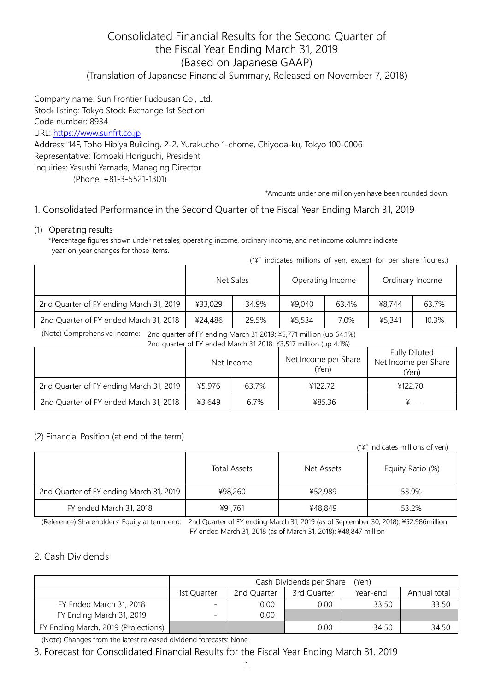# Consolidated Financial Results for the Second Quarter of the Fiscal Year Ending March 31, 2019 (Based on Japanese GAAP) (Translation of Japanese Financial Summary, Released on November 7, 2018)

Company name: Sun Frontier Fudousan Co., Ltd. Stock listing: Tokyo Stock Exchange 1st Section Code number: 8934 URL: [https://www.sunfrt.co.jp](https://www.sunfrt.co.jp/) Address: 14F, Toho Hibiya Building, 2-2, Yurakucho 1-chome, Chiyoda-ku, Tokyo 100-0006 Representative: Tomoaki Horiguchi, President Inquiries: Yasushi Yamada, Managing Director (Phone: +81-3-5521-1301)

\*Amounts under one million yen have been rounded down.

## 1. Consolidated Performance in the Second Quarter of the Fiscal Year Ending March 31, 2019

(1) Operating results

\*Percentage figures shown under net sales, operating income, ordinary income, and net income columns indicate year-on-year changes for those items. ("¥" indicates millions of yen, except for per share figures.)

|                                         |           | $+$ IIIUILALES IIIIIIUIIS UI |                  | yen, except for per share hydres. |                 |       |
|-----------------------------------------|-----------|------------------------------|------------------|-----------------------------------|-----------------|-------|
|                                         | Net Sales |                              | Operating Income |                                   | Ordinary Income |       |
| 2nd Quarter of FY ending March 31, 2019 | ¥33,029   | 34.9%                        | ¥9,040           | 63.4%                             | ¥8.744          | 63.7% |
| 2nd Quarter of FY ended March 31, 2018  | ¥24,486   | 29.5%                        | ¥5,534           | 7.0%                              | ¥5,341          | 10.3% |

(Note) Comprehensive Income: 2nd quarter of FY ending March 31 2019: ¥5,771 million (up 64.1%)

| 2nd quarter of FY ended March 31 2018: ¥3.517 million (up 4.1%) |            |       |                               |                                                       |  |  |  |
|-----------------------------------------------------------------|------------|-------|-------------------------------|-------------------------------------------------------|--|--|--|
|                                                                 | Net Income |       | Net Income per Share<br>(Yen) | <b>Fully Diluted</b><br>Net Income per Share<br>(Yen) |  |  |  |
| 2nd Quarter of FY ending March 31, 2019                         | ¥5.976     | 63.7% | ¥122.72                       | ¥122.70                                               |  |  |  |
| 2nd Quarter of FY ended March 31, 2018                          | ¥3,649     | 6.7%  | ¥85.36                        |                                                       |  |  |  |

#### (2) Financial Position (at end of the term)

| $(\tilde{A}^{\mu})^{\mu}$ indicates millions of yen) |              |            |                  |  |  |
|------------------------------------------------------|--------------|------------|------------------|--|--|
|                                                      | Total Assets | Net Assets | Equity Ratio (%) |  |  |
| 2nd Quarter of FY ending March 31, 2019              | ¥98,260      | ¥52,989    | 53.9%            |  |  |
| FY ended March 31, 2018                              | ¥91.761      | ¥48,849    | 53.2%            |  |  |

(Reference) Shareholders' Equity at term-end: 2nd Quarter of FY ending March 31, 2019 (as of September 30, 2018): ¥52,986million FY ended March 31, 2018 (as of March 31, 2018): ¥48,847 million

### 2. Cash Dividends

|                                     | Cash Dividends per Share<br>'Yen) |          |              |       |       |  |  |
|-------------------------------------|-----------------------------------|----------|--------------|-------|-------|--|--|
|                                     | 1st Ouarter                       | Year-end | Annual total |       |       |  |  |
| FY Ended March 31, 2018             |                                   | 0.00     | 0.00         | 33.50 | 33.50 |  |  |
| FY Ending March 31, 2019            | $\overline{\phantom{0}}$          | 0.00     |              |       |       |  |  |
| FY Ending March, 2019 (Projections) |                                   |          | 0.00         | 34.50 | 34.50 |  |  |

(Note) Changes from the latest released dividend forecasts: None

3. Forecast for Consolidated Financial Results for the Fiscal Year Ending March 31, 2019